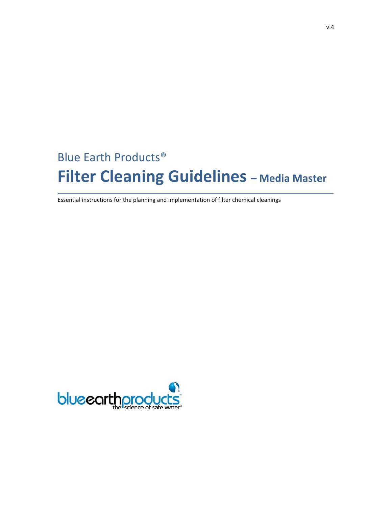# Blue Earth Products® **Filter Cleaning Guidelines – Media Master**

Essential instructions for the planning and implementation of filter chemical cleanings

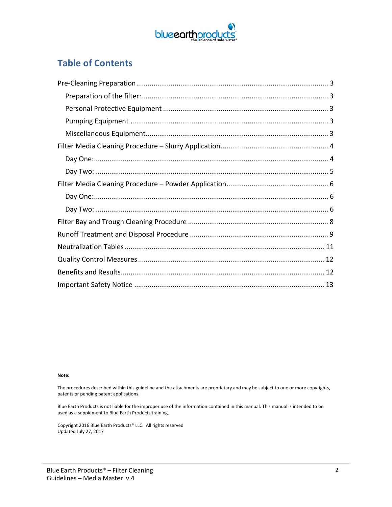

## **Table of Contents**

#### **Note:**

The procedures described within this guideline and the attachments are proprietary and may be subject to one or more copyrights, patents or pending patent applications.

Blue Earth Products is not liable for the improper use of the information contained in this manual. This manual is intended to be used as a supplement to Blue Earth Products training.

Copyright 2016 Blue Earth Products® LLC. All rights reserved Updated July 27, 2017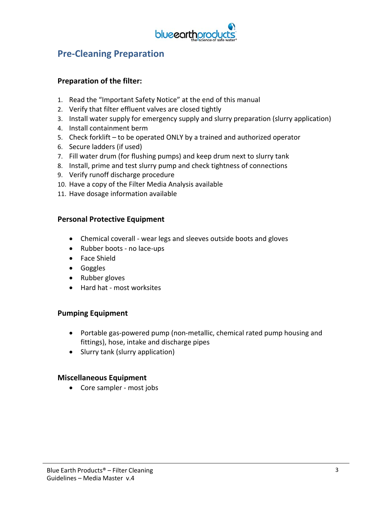

### **Pre‐Cleaning Preparation**

#### **Preparation of the filter:**

- 1. Read the "Important Safety Notice" at the end of this manual
- 2. Verify that filter effluent valves are closed tightly
- 3. Install water supply for emergency supply and slurry preparation (slurry application)
- 4. Install containment berm
- 5. Check forklift to be operated ONLY by a trained and authorized operator
- 6. Secure ladders (if used)
- 7. Fill water drum (for flushing pumps) and keep drum next to slurry tank
- 8. Install, prime and test slurry pump and check tightness of connections
- 9. Verify runoff discharge procedure
- 10. Have a copy of the Filter Media Analysis available
- 11. Have dosage information available

#### **Personal Protective Equipment**

- Chemical coverall wear legs and sleeves outside boots and gloves
- Rubber boots no lace-ups
- Face Shield
- Goggles
- Rubber gloves
- Hard hat most worksites

#### **Pumping Equipment**

- Portable gas-powered pump (non-metallic, chemical rated pump housing and fittings), hose, intake and discharge pipes
- Slurry tank (slurry application)

#### **Miscellaneous Equipment**

● Core sampler - most jobs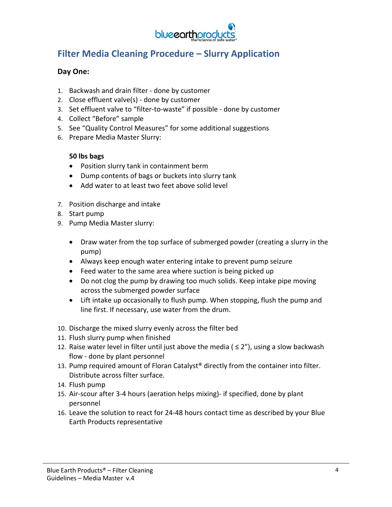

## **Filter Media Cleaning Procedure – Slurry Application**

#### **Day One:**

- 1. Backwash and drain filter ‐ done by customer
- 2. Close effluent valve(s) ‐ done by customer
- 3. Set effluent valve to "filter‐to‐waste" if possible ‐ done by customer
- 4. Collect "Before" sample
- 5. See "Quality Control Measures" for some additional suggestions
- 6. Prepare Media Master Slurry:

#### **50 lbs bags**

- Position slurry tank in containment berm
- Dump contents of bags or buckets into slurry tank
- Add water to at least two feet above solid level
- 7. Position discharge and intake
- 8. Start pump
- 9. Pump Media Master slurry:
	- Draw water from the top surface of submerged powder (creating a slurry in the pump)
	- Always keep enough water entering intake to prevent pump seizure
	- Feed water to the same area where suction is being picked up
	- Do not clog the pump by drawing too much solids. Keep intake pipe moving across the submerged powder surface
	- Lift intake up occasionally to flush pump. When stopping, flush the pump and line first. If necessary, use water from the drum.
- 10. Discharge the mixed slurry evenly across the filter bed
- 11. Flush slurry pump when finished
- 12. Raise water level in filter until just above the media ( $\leq$  2"), using a slow backwash flow ‐ done by plant personnel
- 13. Pump required amount of Floran Catalyst® directly from the container into filter. Distribute across filter surface.
- 14. Flush pump
- 15. Air‐scour after 3‐4 hours (aeration helps mixing)‐ if specified, done by plant personnel
- 16. Leave the solution to react for 24‐48 hours contact time as described by your Blue Earth Products representative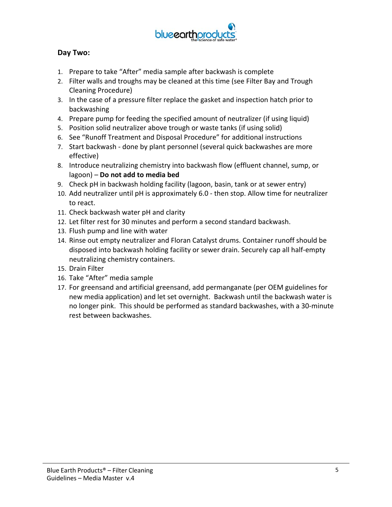

### **Day Two:**

- 1. Prepare to take "After" media sample after backwash is complete
- 2. Filter walls and troughs may be cleaned at this time (see Filter Bay and Trough Cleaning Procedure)
- 3. In the case of a pressure filter replace the gasket and inspection hatch prior to backwashing
- 4. Prepare pump for feeding the specified amount of neutralizer (if using liquid)
- 5. Position solid neutralizer above trough or waste tanks (if using solid)
- 6. See "Runoff Treatment and Disposal Procedure" for additional instructions
- 7. Start backwash ‐ done by plant personnel (several quick backwashes are more effective)
- 8. Introduce neutralizing chemistry into backwash flow (effluent channel, sump, or lagoon) – **Do not add to media bed**
- 9. Check pH in backwash holding facility (lagoon, basin, tank or at sewer entry)
- 10. Add neutralizer until pH is approximately 6.0 ‐ then stop. Allow time for neutralizer to react.
- 11. Check backwash water pH and clarity
- 12. Let filter rest for 30 minutes and perform a second standard backwash.
- 13. Flush pump and line with water
- 14. Rinse out empty neutralizer and Floran Catalyst drums. Container runoff should be disposed into backwash holding facility or sewer drain. Securely cap all half‐empty neutralizing chemistry containers.
- 15. Drain Filter
- 16. Take "After" media sample
- 17. For greensand and artificial greensand, add permanganate (per OEM guidelines for new media application) and let set overnight. Backwash until the backwash water is no longer pink. This should be performed as standard backwashes, with a 30‐minute rest between backwashes.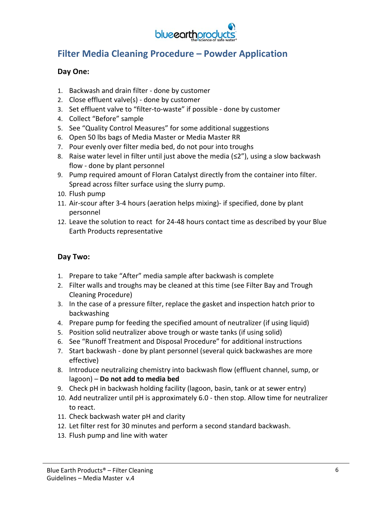

### **Filter Media Cleaning Procedure – Powder Application**

#### **Day One:**

- 1. Backwash and drain filter ‐ done by customer
- 2. Close effluent valve(s) ‐ done by customer
- 3. Set effluent valve to "filter‐to‐waste" if possible ‐ done by customer
- 4. Collect "Before" sample
- 5. See "Quality Control Measures" for some additional suggestions
- 6. Open 50 lbs bags of Media Master or Media Master RR
- 7. Pour evenly over filter media bed, do not pour into troughs
- 8. Raise water level in filter until just above the media  $(\leq 2'')$ , using a slow backwash flow ‐ done by plant personnel
- 9. Pump required amount of Floran Catalyst directly from the container into filter. Spread across filter surface using the slurry pump.
- 10. Flush pump
- 11. Air‐scour after 3‐4 hours (aeration helps mixing)‐ if specified, done by plant personnel
- 12. Leave the solution to react for 24‐48 hours contact time as described by your Blue Earth Products representative

#### **Day Two:**

- 1. Prepare to take "After" media sample after backwash is complete
- 2. Filter walls and troughs may be cleaned at this time (see Filter Bay and Trough Cleaning Procedure)
- 3. In the case of a pressure filter, replace the gasket and inspection hatch prior to backwashing
- 4. Prepare pump for feeding the specified amount of neutralizer (if using liquid)
- 5. Position solid neutralizer above trough or waste tanks (if using solid)
- 6. See "Runoff Treatment and Disposal Procedure" for additional instructions
- 7. Start backwash ‐ done by plant personnel (several quick backwashes are more effective)
- 8. Introduce neutralizing chemistry into backwash flow (effluent channel, sump, or lagoon) – **Do not add to media bed**
- 9. Check pH in backwash holding facility (lagoon, basin, tank or at sewer entry)
- 10. Add neutralizer until pH is approximately 6.0 ‐ then stop. Allow time for neutralizer to react.
- 11. Check backwash water pH and clarity
- 12. Let filter rest for 30 minutes and perform a second standard backwash.
- 13. Flush pump and line with water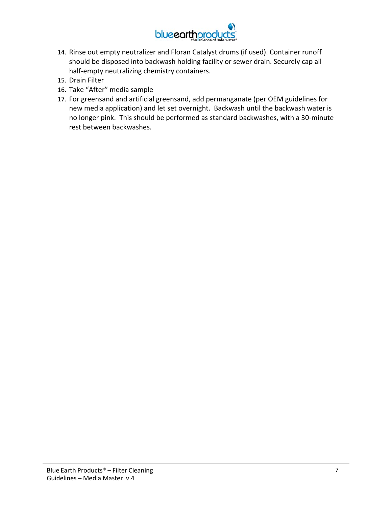

- 14. Rinse out empty neutralizer and Floran Catalyst drums (if used). Container runoff should be disposed into backwash holding facility or sewer drain. Securely cap all half-empty neutralizing chemistry containers.
- 15. Drain Filter
- 16. Take "After" media sample
- 17. For greensand and artificial greensand, add permanganate (per OEM guidelines for new media application) and let set overnight. Backwash until the backwash water is no longer pink. This should be performed as standard backwashes, with a 30‐minute rest between backwashes.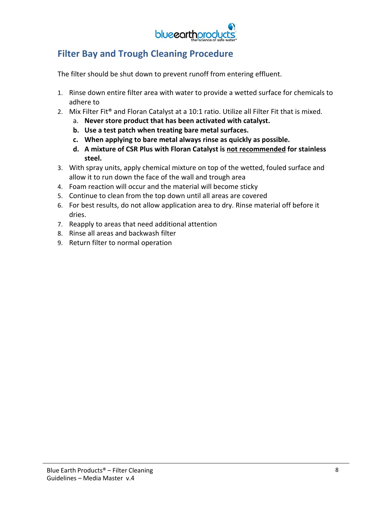

### **Filter Bay and Trough Cleaning Procedure**

The filter should be shut down to prevent runoff from entering effluent.

- 1. Rinse down entire filter area with water to provide a wetted surface for chemicals to adhere to
- 2. Mix Filter Fit<sup>®</sup> and Floran Catalyst at a 10:1 ratio. Utilize all Filter Fit that is mixed.
	- a. **Never store product that has been activated with catalyst.**
	- **b. Use a test patch when treating bare metal surfaces.**
	- **c. When applying to bare metal always rinse as quickly as possible.**
	- **d. A mixture of CSR Plus with Floran Catalyst is not recommended for stainless steel.**
- 3. With spray units, apply chemical mixture on top of the wetted, fouled surface and allow it to run down the face of the wall and trough area
- 4. Foam reaction will occur and the material will become sticky
- 5. Continue to clean from the top down until all areas are covered
- 6. For best results, do not allow application area to dry. Rinse material off before it dries.
- 7. Reapply to areas that need additional attention
- 8. Rinse all areas and backwash filter
- 9. Return filter to normal operation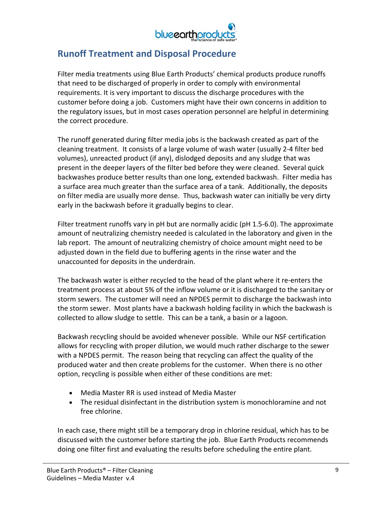

### **Runoff Treatment and Disposal Procedure**

Filter media treatments using Blue Earth Products' chemical products produce runoffs that need to be discharged of properly in order to comply with environmental requirements. It is very important to discuss the discharge procedures with the customer before doing a job. Customers might have their own concerns in addition to the regulatory issues, but in most cases operation personnel are helpful in determining the correct procedure.

The runoff generated during filter media jobs is the backwash created as part of the cleaning treatment. It consists of a large volume of wash water (usually 2‐4 filter bed volumes), unreacted product (if any), dislodged deposits and any sludge that was present in the deeper layers of the filter bed before they were cleaned. Several quick backwashes produce better results than one long, extended backwash. Filter media has a surface area much greater than the surface area of a tank. Additionally, the deposits on filter media are usually more dense. Thus, backwash water can initially be very dirty early in the backwash before it gradually begins to clear.

Filter treatment runoffs vary in pH but are normally acidic (pH 1.5‐6.0). The approximate amount of neutralizing chemistry needed is calculated in the laboratory and given in the lab report. The amount of neutralizing chemistry of choice amount might need to be adjusted down in the field due to buffering agents in the rinse water and the unaccounted for deposits in the underdrain.

The backwash water is either recycled to the head of the plant where it re‐enters the treatment process at about 5% of the inflow volume or it is discharged to the sanitary or storm sewers. The customer will need an NPDES permit to discharge the backwash into the storm sewer. Most plants have a backwash holding facility in which the backwash is collected to allow sludge to settle. This can be a tank, a basin or a lagoon.

Backwash recycling should be avoided whenever possible. While our NSF certification allows for recycling with proper dilution, we would much rather discharge to the sewer with a NPDES permit. The reason being that recycling can affect the quality of the produced water and then create problems for the customer. When there is no other option, recycling is possible when either of these conditions are met:

- Media Master RR is used instead of Media Master
- The residual disinfectant in the distribution system is monochloramine and not free chlorine.

In each case, there might still be a temporary drop in chlorine residual, which has to be discussed with the customer before starting the job. Blue Earth Products recommends doing one filter first and evaluating the results before scheduling the entire plant.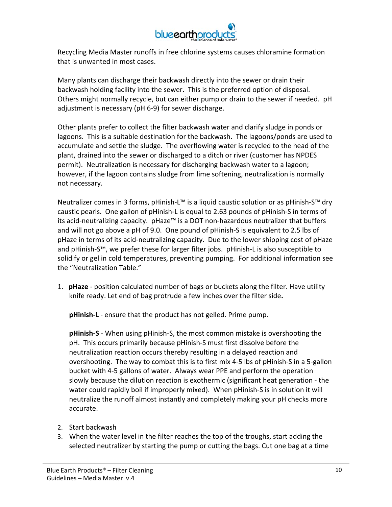

Recycling Media Master runoffs in free chlorine systems causes chloramine formation that is unwanted in most cases.

Many plants can discharge their backwash directly into the sewer or drain their backwash holding facility into the sewer. This is the preferred option of disposal. Others might normally recycle, but can either pump or drain to the sewer if needed. pH adjustment is necessary (pH 6‐9) for sewer discharge.

Other plants prefer to collect the filter backwash water and clarify sludge in ponds or lagoons. This is a suitable destination for the backwash. The lagoons/ponds are used to accumulate and settle the sludge. The overflowing water is recycled to the head of the plant, drained into the sewer or discharged to a ditch or river (customer has NPDES permit). Neutralization is necessary for discharging backwash water to a lagoon; however, if the lagoon contains sludge from lime softening, neutralization is normally not necessary.

Neutralizer comes in 3 forms, pHinish‐L™ is a liquid caustic solution or as pHinish‐S™ dry caustic pearls. One gallon of pHinish‐L is equal to 2.63 pounds of pHinish‐S in terms of its acid‐neutralizing capacity. pHaze™ is a DOT non‐hazardous neutralizer that buffers and will not go above a pH of 9.0. One pound of pHinish‐S is equivalent to 2.5 lbs of pHaze in terms of its acid‐neutralizing capacity. Due to the lower shipping cost of pHaze and pHinish‐S™, we prefer these for larger filter jobs. pHinish‐L is also susceptible to solidify or gel in cold temperatures, preventing pumping. For additional information see the "Neutralization Table."

1. **pHaze** ‐ position calculated number of bags or buckets along the filter. Have utility knife ready. Let end of bag protrude a few inches over the filter side**.** 

**pHinish‐L** ‐ ensure that the product has not gelled. Prime pump.

**pHinish‐S** ‐ When using pHinish‐S, the most common mistake is overshooting the pH. This occurs primarily because pHinish‐S must first dissolve before the neutralization reaction occurs thereby resulting in a delayed reaction and overshooting. The way to combat this is to first mix 4‐5 lbs of pHinish‐S in a 5‐gallon bucket with 4‐5 gallons of water. Always wear PPE and perform the operation slowly because the dilution reaction is exothermic (significant heat generation ‐ the water could rapidly boil if improperly mixed). When pHinish‐S is in solution it will neutralize the runoff almost instantly and completely making your pH checks more accurate.

- 2. Start backwash
- 3. When the water level in the filter reaches the top of the troughs, start adding the selected neutralizer by starting the pump or cutting the bags. Cut one bag at a time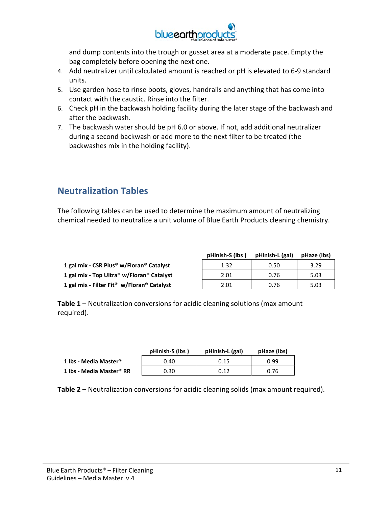

and dump contents into the trough or gusset area at a moderate pace. Empty the bag completely before opening the next one.

- 4. Add neutralizer until calculated amount is reached or pH is elevated to 6‐9 standard units.
- 5. Use garden hose to rinse boots, gloves, handrails and anything that has come into contact with the caustic. Rinse into the filter.
- 6. Check pH in the backwash holding facility during the later stage of the backwash and after the backwash.
- 7. The backwash water should be pH 6.0 or above. If not, add additional neutralizer during a second backwash or add more to the next filter to be treated (the backwashes mix in the holding facility).

### **Neutralization Tables**

The following tables can be used to determine the maximum amount of neutralizing chemical needed to neutralize a unit volume of Blue Earth Products cleaning chemistry.

|                                                                  | pHinish-S (lbs) | pHinish-L (gal) | pHaze (lbs) |
|------------------------------------------------------------------|-----------------|-----------------|-------------|
| 1 gal mix - CSR Plus <sup>®</sup> w/Floran <sup>®</sup> Catalyst | 1.32            | 0.50            | 3.29        |
| 1 gal mix - Top Ultra® w/Floran® Catalyst                        | 2.01            | 0.76            | 5.03        |
| 1 gal mix - Filter Fit <sup>®</sup> w/Floran® Catalyst           | 2.01            | 0.76            | 5.03        |

**Table 1** – Neutralization conversions for acidic cleaning solutions (max amount required).

|                                   | pHinish-S (lbs) | pHinish-L (gal) | pHaze (lbs) |
|-----------------------------------|-----------------|-----------------|-------------|
| 1 lbs - Media Master <sup>®</sup> | 0.40            | 0.15            | 0.99        |
| 1 lbs - Media Master® RR          | 0.30            | 0.12            | 0.76        |

**Table 2** – Neutralization conversions for acidic cleaning solids (max amount required).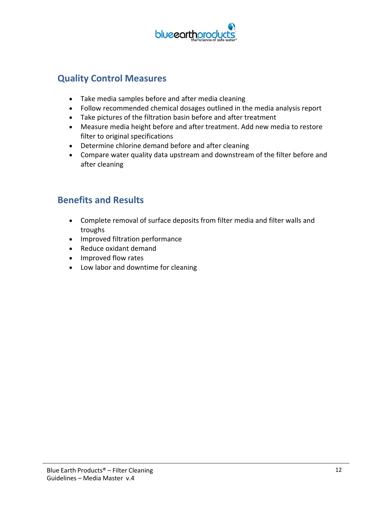

### **Quality Control Measures**

- Take media samples before and after media cleaning
- Follow recommended chemical dosages outlined in the media analysis report
- Take pictures of the filtration basin before and after treatment
- Measure media height before and after treatment. Add new media to restore filter to original specifications
- Determine chlorine demand before and after cleaning
- Compare water quality data upstream and downstream of the filter before and after cleaning

### **Benefits and Results**

- Complete removal of surface deposits from filter media and filter walls and troughs
- Improved filtration performance
- Reduce oxidant demand
- Improved flow rates
- Low labor and downtime for cleaning